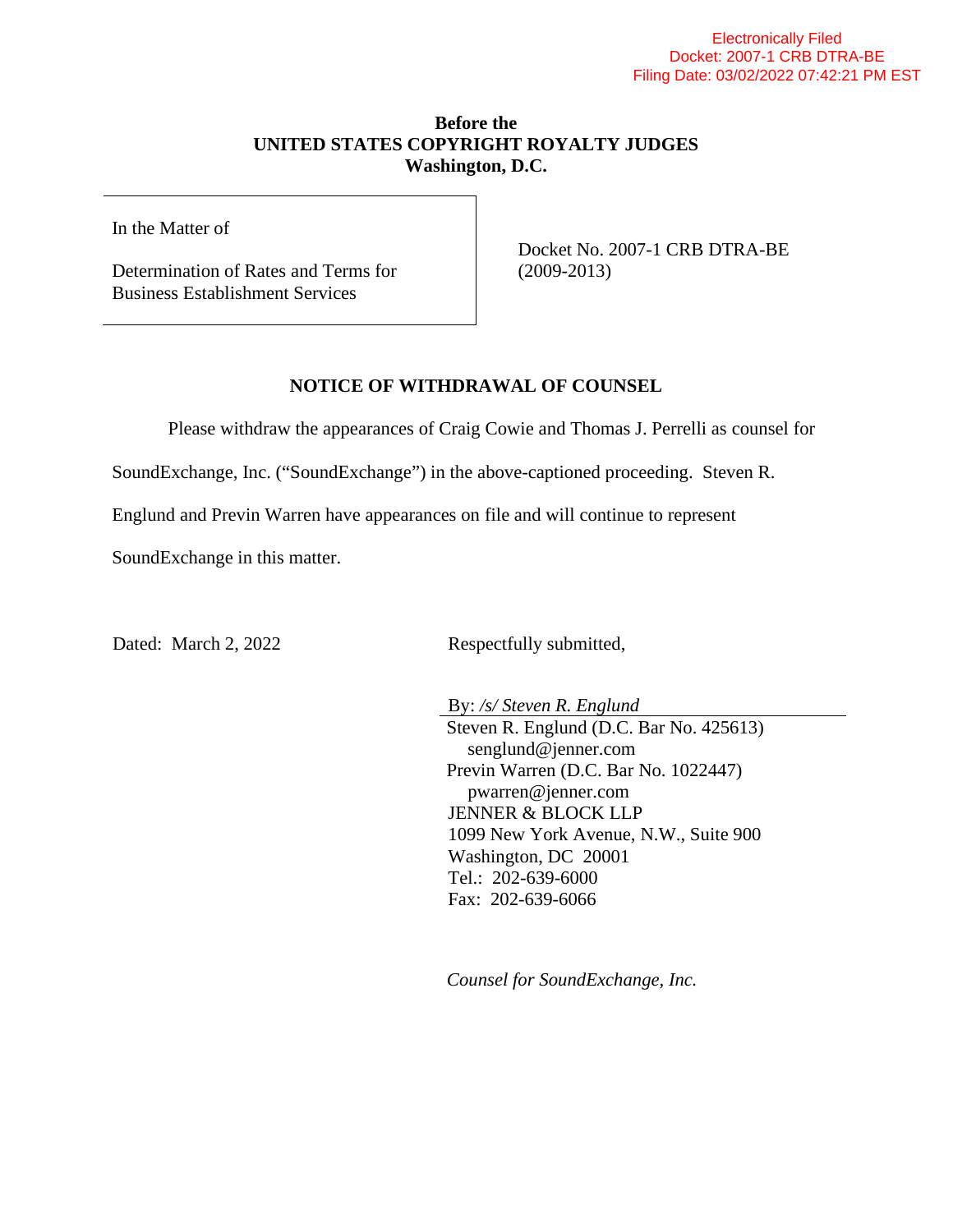## **Before the UNITED STATES COPYRIGHT ROYALTY JUDGES Washington, D.C.**

In the Matter of

Determination of Rates and Terms for Business Establishment Services

Docket No. 2007-1 CRB DTRA-BE (2009-2013)

## **NOTICE OF WITHDRAWAL OF COUNSEL**

Please withdraw the appearances of Craig Cowie and Thomas J. Perrelli as counsel for

SoundExchange, Inc. ("SoundExchange") in the above-captioned proceeding. Steven R.

Englund and Previn Warren have appearances on file and will continue to represent

SoundExchange in this matter.

Dated: March 2, 2022 Respectfully submitted,

By: */s/ Steven R. Englund* Steven R. Englund (D.C. Bar No. 425613) senglund@jenner.com Previn Warren (D.C. Bar No. 1022447) pwarren@jenner.com JENNER & BLOCK LLP 1099 New York Avenue, N.W., Suite 900 Washington, DC 20001 Tel.: 202-639-6000 Fax: 202-639-6066

*Counsel for SoundExchange, Inc.*